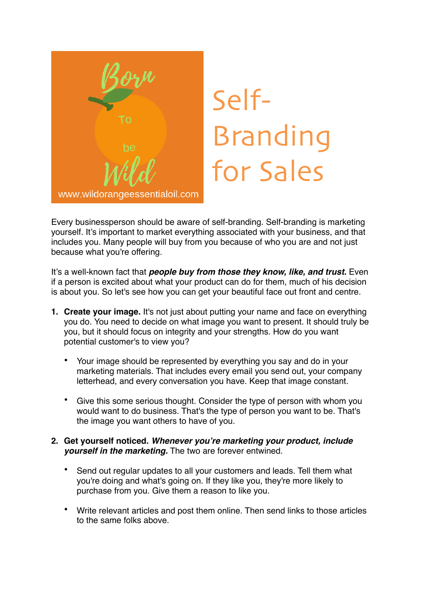

## Self-Branding for Sales

Every businessperson should be aware of self-branding. Self-branding is marketing yourself. It's important to market everything associated with your business, and that includes you. Many people will buy from you because of who you are and not just because what you're offering.

It's a well-known fact that *people buy from those they know, like, and trust.* Even if a person is excited about what your product can do for them, much of his decision is about you. So let's see how you can get your beautiful face out front and centre.

- **1. Create your image.** It's not just about putting your name and face on everything you do. You need to decide on what image you want to present. It should truly be you, but it should focus on integrity and your strengths. How do you want potential customer's to view you?
	- Your image should be represented by everything you say and do in your marketing materials. That includes every email you send out, your company letterhead, and every conversation you have. Keep that image constant.
	- Give this some serious thought. Consider the type of person with whom you would want to do business. That's the type of person you want to be. That's the image you want others to have of you.

## **2. Get yourself noticed.** *Whenever you're marketing your product, include yourself in the marketing.* The two are forever entwined.

- Send out regular updates to all your customers and leads. Tell them what you're doing and what's going on. If they like you, they're more likely to purchase from you. Give them a reason to like you.
- Write relevant articles and post them online. Then send links to those articles to the same folks above.